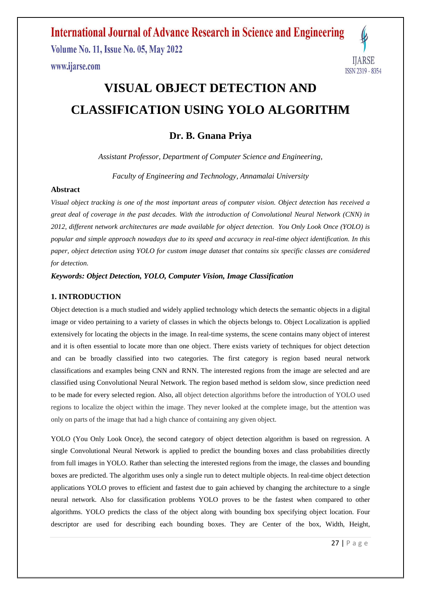**Volume No. 11, Issue No. 05, May 2022** www.ijarse.com



# **VISUAL OBJECT DETECTION AND CLASSIFICATION USING YOLO ALGORITHM**

### **Dr. B. Gnana Priya**

*Assistant Professor, Department of Computer Science and Engineering,*

*Faculty of Engineering and Technology, Annamalai University*

#### **Abstract**

*Visual object tracking is one of the most important areas of computer vision. Object detection has received a great deal of coverage in the past decades. With the introduction of Convolutional Neural Network (CNN) in 2012, different network architectures are made available for object detection. You Only Look Once (YOLO) is popular and simple approach nowadays due to its speed and accuracy in real-time object identification. In this paper, object detection using YOLO for custom image dataset that contains six specific classes are considered for detection.* 

*Keywords: Object Detection, YOLO, Computer Vision, Image Classification*

#### **1. INTRODUCTION**

Object detection is a much studied and widely applied technology which detects the semantic objects in a digital image or video pertaining to a variety of classes in which the objects belongs to. Object Localization is applied extensively for locating the objects in the image. In real-time systems, the scene contains many object of interest and it is often essential to locate more than one object. There exists variety of techniques for object detection and can be broadly classified into two categories. The first category is region based neural network classifications and examples being CNN and RNN. The interested regions from the image are selected and are classified using Convolutional Neural Network. The region based method is seldom slow, since prediction need to be made for every selected region. Also, all object detection algorithms before the introduction of YOLO used regions to localize the object within the image. They never looked at the complete image, but the attention was only on parts of the image that had a high chance of containing any given object.

YOLO (You Only Look Once), the second category of object detection algorithm is based on regression. A single Convolutional Neural Network is applied to predict the bounding boxes and class probabilities directly from full images in YOLO. Rather than selecting the interested regions from the image, the classes and bounding boxes are predicted. The algorithm uses only a single run to detect multiple objects. In real-time object detection applications YOLO proves to efficient and fastest due to gain achieved by changing the architecture to a single neural network. Also for classification problems YOLO proves to be the fastest when compared to other algorithms. YOLO predicts the class of the object along with bounding box specifying object location. Four descriptor are used for describing each bounding boxes. They are Center of the box, Width, Height,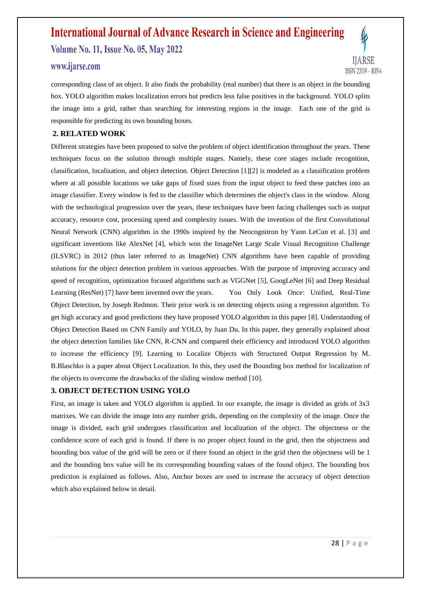**Volume No. 11, Issue No. 05, May 2022** 

### www.ijarse.com



corresponding class of an object. It also finds the probability (real number) that there is an object in the bounding box. YOLO algorithm makes localization errors but predicts less false positives in the background. YOLO splits the image into a grid, rather than searching for interesting regions in the image. Each one of the grid is responsible for predicting its own bounding boxes.

#### **2. RELATED WORK**

Different strategies have been proposed to solve the problem of object identification throughout the years. These techniques focus on the solution through multiple stages. Namely, these core stages include recognition, classification, localization, and object detection. Object Detection [1][2] is modeled as a classification problem where at all possible locations we take gaps of fixed sizes from the input object to feed these patches into an image classifier. Every window is fed to the classifier which determines the object's class in the window. Along with the technological progression over the years, these techniques have been facing challenges such as output accuracy, resource cost, processing speed and complexity issues. With the invention of the first Convolutional Neural Network (CNN) algorithm in the 1990s inspired by the Neocognitron by Yann LeCun et al. [3] and significant inventions like AlexNet [4], which won the ImageNet Large Scale Visual Recognition Challenge (ILSVRC) in 2012 (thus later referred to as ImageNet) CNN algorithms have been capable of providing solutions for the object detection problem in various approaches. With the purpose of improving accuracy and speed of recognition, optimization focused algorithms such as VGGNet [5], GoogLeNet [6] and Deep Residual Learning (ResNet) [7] have been invented over the years. You Only Look Once: Unified, Real-Time Object Detection, by Joseph Redmon. Their prior work is on detecting objects using a regression algorithm. To get high accuracy and good predictions they have proposed YOLO algorithm in this paper [8]. Understanding of Object Detection Based on CNN Family and YOLO, by Juan Du. In this paper, they generally explained about the object detection families like CNN, R-CNN and compared their efficiency and introduced YOLO algorithm to increase the efficiency [9]. Learning to Localize Objects with Structured Output Regression by M. B.Blaschko is a paper about Object Localization. In this, they used the Bounding box method for localization of the objects to overcome the drawbacks of the sliding window method [10].

#### **3. OBJECT DETECTION USING YOLO**

First, an image is taken and YOLO algorithm is applied. In our example, the image is divided as grids of 3x3 matrixes. We can divide the image into any number grids, depending on the complexity of the image. Once the image is divided, each grid undergoes classification and localization of the object. The objectness or the confidence score of each grid is found. If there is no proper object found in the grid, then the objectness and bounding box value of the grid will be zero or if there found an object in the grid then the objectness will be 1 and the bounding box value will be its corresponding bounding values of the found object. The bounding box prediction is explained as follows. Also, Anchor boxes are used to increase the accuracy of object detection which also explained below in detail.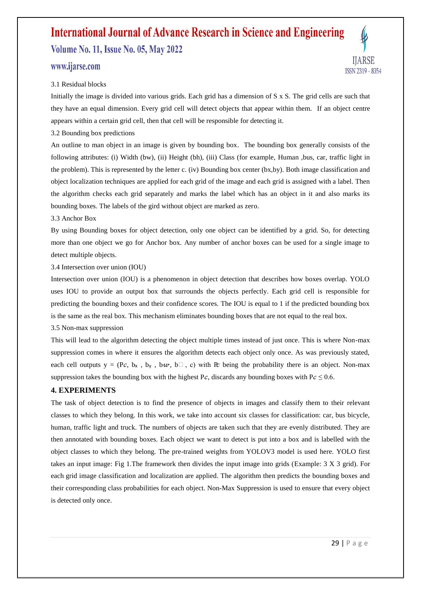**Volume No. 11, Issue No. 05, May 2022** 

### www.ijarse.com



#### 3.1 Residual blocks

Initially the image is divided into various grids. Each grid has a dimension of S x S. The grid cells are such that they have an equal dimension. Every grid cell will detect objects that appear within them. If an object centre appears within a certain grid cell, then that cell will be responsible for detecting it.

#### 3.2 Bounding box predictions

An outline to man object in an image is given by bounding box. The bounding box generally consists of the following attributes: (i) Width (bw), (ii) Height (bh), (iii) Class (for example, Human ,bus, car, traffic light in the problem). This is represented by the letter c. (iv) Bounding box center (bx,by). Both image classification and object localization techniques are applied for each grid of the image and each grid is assigned with a label. Then the algorithm checks each grid separately and marks the label which has an object in it and also marks its bounding boxes. The labels of the gird without object are marked as zero.

#### 3.3 Anchor Box

By using Bounding boxes for object detection, only one object can be identified by a grid. So, for detecting more than one object we go for Anchor box. Any number of anchor boxes can be used for a single image to detect multiple objects.

3.4 Intersection over union (IOU)

Intersection over union (IOU) is a phenomenon in object detection that describes how boxes overlap. YOLO uses IOU to provide an output box that surrounds the objects perfectly. Each grid cell is responsible for predicting the bounding boxes and their confidence scores. The IOU is equal to 1 if the predicted bounding box is the same as the real box. This mechanism eliminates bounding boxes that are not equal to the real box.

3.5 Non-max suppression

This will lead to the algorithm detecting the object multiple times instead of just once. This is where Non-max suppression comes in where it ensures the algorithm detects each object only once. As was previously stated, each cell outputs  $y = (P_c, b_x, b_y, b_x, b_\perp, c)$  with P being the probability there is an object. Non-max suppression takes the bounding box with the highest Pc, discards any bounding boxes with  $P_c \le 0.6$ .

#### **4. EXPERIMENTS**

The task of object detection is to find the presence of objects in images and classify them to their relevant classes to which they belong. In this work, we take into account six classes for classification: car, bus bicycle, human, traffic light and truck. The numbers of objects are taken such that they are evenly distributed. They are then annotated with bounding boxes. Each object we want to detect is put into a box and is labelled with the object classes to which they belong. The pre-trained weights from YOLOV3 model is used here. YOLO first takes an input image: Fig 1.The framework then divides the input image into grids (Example: 3 X 3 grid). For each grid image classification and localization are applied. The algorithm then predicts the bounding boxes and their corresponding class probabilities for each object. Non-Max Suppression is used to ensure that every object is detected only once.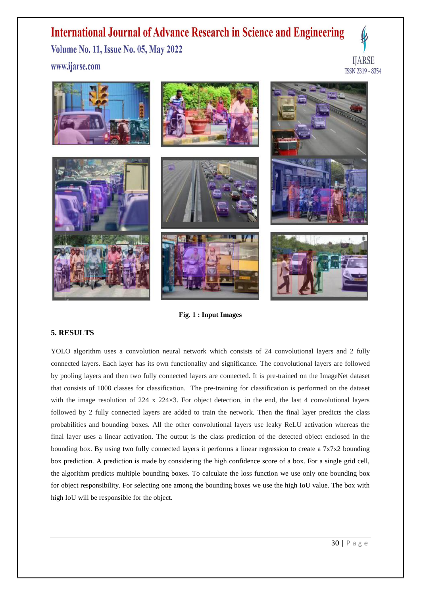**Volume No. 11, Issue No. 05, May 2022** 

www.ijarse.com





**Fig. 1 : Input Images**

#### **5. RESULTS**

YOLO algorithm uses a convolution neural network which consists of 24 convolutional layers and 2 fully connected layers. Each layer has its own functionality and significance. The convolutional layers are followed by pooling layers and then two fully connected layers are connected. It is pre-trained on the ImageNet dataset that consists of 1000 classes for classification. The pre-training for classification is performed on the dataset with the image resolution of 224 x 224×3. For object detection, in the end, the last 4 convolutional layers followed by 2 fully connected layers are added to train the network. Then the final layer predicts the class probabilities and bounding boxes. All the other convolutional layers use leaky ReLU activation whereas the final layer uses a linear activation. The output is the class prediction of the detected object enclosed in the bounding box. By using two fully connected layers it performs a linear regression to create a 7x7x2 bounding box prediction. A prediction is made by considering the high confidence score of a box. For a single grid cell, the algorithm predicts multiple bounding boxes. To calculate the loss function we use only one bounding box for object responsibility. For selecting one among the bounding boxes we use the high IoU value. The box with high IoU will be responsible for the object.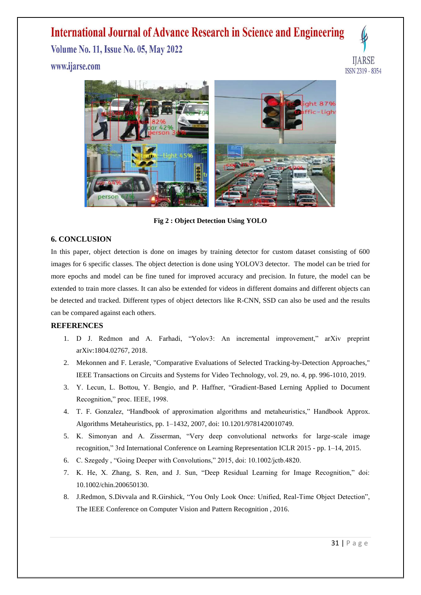**Volume No. 11, Issue No. 05, May 2022** 

www.ijarse.com





**Fig 2 : Object Detection Using YOLO**

#### **6. CONCLUSION**

In this paper, object detection is done on images by training detector for custom dataset consisting of 600 images for 6 specific classes. The object detection is done using YOLOV3 detector. The model can be tried for more epochs and model can be fine tuned for improved accuracy and precision. In future, the model can be extended to train more classes. It can also be extended for videos in different domains and different objects can be detected and tracked. Different types of object detectors like R-CNN, SSD can also be used and the results can be compared against each others.

#### **REFERENCES**

- 1. D J. Redmon and A. Farhadi, "Yolov3: An incremental improvement," arXiv preprint arXiv:1804.02767, 2018.
- 2. Mekonnen and F. Lerasle, "Comparative Evaluations of Selected Tracking-by-Detection Approaches," IEEE Transactions on Circuits and Systems for Video Technology, vol. 29, no. 4, pp. 996-1010, 2019.
- 3. Y. Lecun, L. Bottou, Y. Bengio, and P. Haffner, "Gradient-Based Lerning Applied to Document Recognition," proc. IEEE, 1998.
- 4. T. F. Gonzalez, "Handbook of approximation algorithms and metaheuristics," Handbook Approx. Algorithms Metaheuristics, pp. 1–1432, 2007, doi: 10.1201/9781420010749.
- 5. K. Simonyan and A. Zisserman, "Very deep convolutional networks for large-scale image recognition," 3rd International Conference on Learning Representation ICLR 2015 - pp. 1–14, 2015.
- 6. C. Szegedy , "Going Deeper with Convolutions," 2015, doi: 10.1002/jctb.4820.
- 7. K. He, X. Zhang, S. Ren, and J. Sun, "Deep Residual Learning for Image Recognition," doi: 10.1002/chin.200650130.
- 8. J.Redmon, S.Divvala and R.Girshick, "You Only Look Once: Unified, Real-Time Object Detection", The IEEE Conference on Computer Vision and Pattern Recognition , 2016.